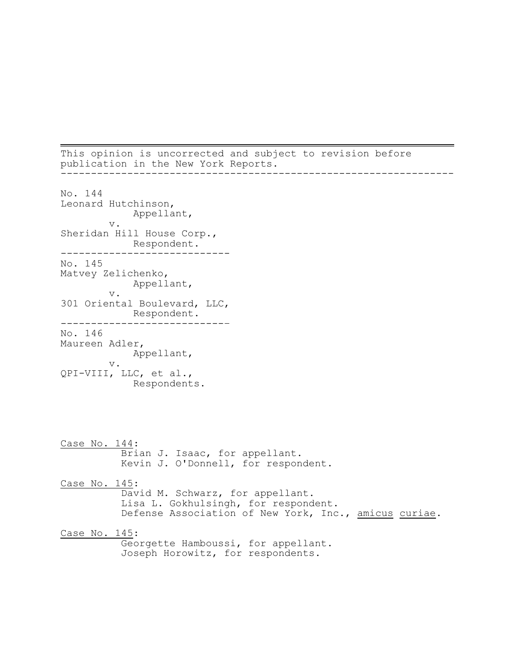This opinion is uncorrected and subject to revision before publication in the New York Reports. -----------------------------------------------------------------

No. 144 Leonard Hutchinson, Appellant, v. Sheridan Hill House Corp., Respondent. ---------------------------- No. 145 Matvey Zelichenko, Appellant, v. 301 Oriental Boulevard, LLC, Respondent. ---------------------------– No. 146 Maureen Adler, Appellant, v. QPI-VIII, LLC, et al., Respondents. Case No. 144: Brian J. Isaac, for appellant. Kevin J. O'Donnell, for respondent. Case No. 145: David M. Schwarz, for appellant. Lisa L. Gokhulsingh, for respondent. Defense Association of New York, Inc., amicus curiae. Case No. 145: Georgette Hamboussi, for appellant. Joseph Horowitz, for respondents.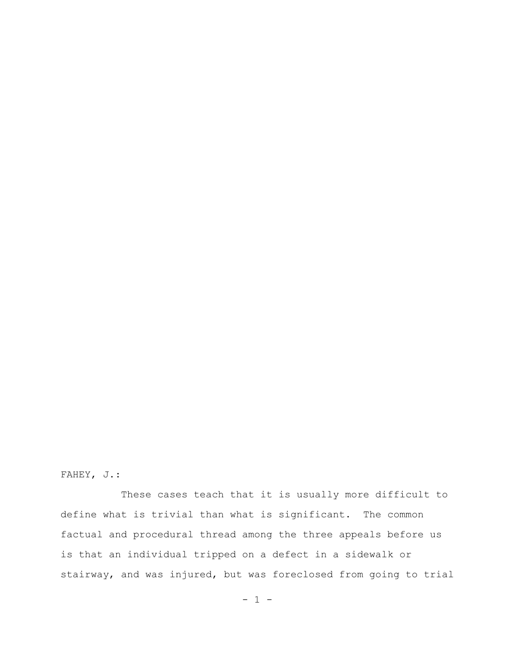# FAHEY, J.:

These cases teach that it is usually more difficult to define what is trivial than what is significant. The common factual and procedural thread among the three appeals before us is that an individual tripped on a defect in a sidewalk or stairway, and was injured, but was foreclosed from going to trial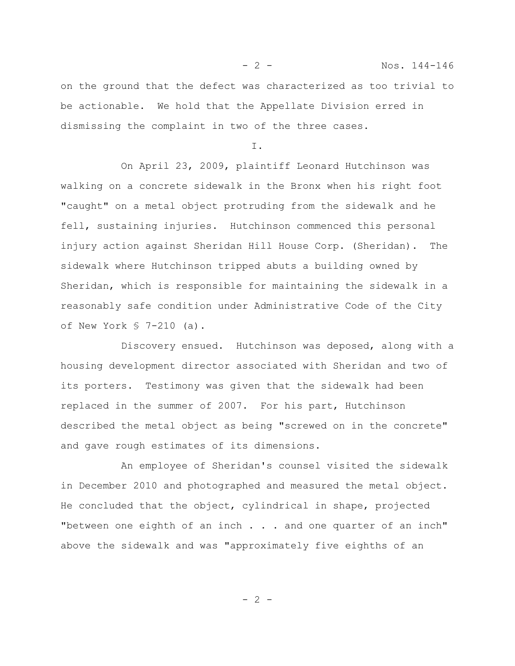on the ground that the defect was characterized as too trivial to be actionable. We hold that the Appellate Division erred in dismissing the complaint in two of the three cases.

I.

On April 23, 2009, plaintiff Leonard Hutchinson was walking on a concrete sidewalk in the Bronx when his right foot "caught" on a metal object protruding from the sidewalk and he fell, sustaining injuries. Hutchinson commenced this personal injury action against Sheridan Hill House Corp. (Sheridan). The sidewalk where Hutchinson tripped abuts a building owned by Sheridan, which is responsible for maintaining the sidewalk in a reasonably safe condition under Administrative Code of the City of New York § 7-210 (a).

Discovery ensued. Hutchinson was deposed, along with a housing development director associated with Sheridan and two of its porters. Testimony was given that the sidewalk had been replaced in the summer of 2007. For his part, Hutchinson described the metal object as being "screwed on in the concrete" and gave rough estimates of its dimensions.

An employee of Sheridan's counsel visited the sidewalk in December 2010 and photographed and measured the metal object. He concluded that the object, cylindrical in shape, projected "between one eighth of an inch . . . and one quarter of an inch" above the sidewalk and was "approximately five eighths of an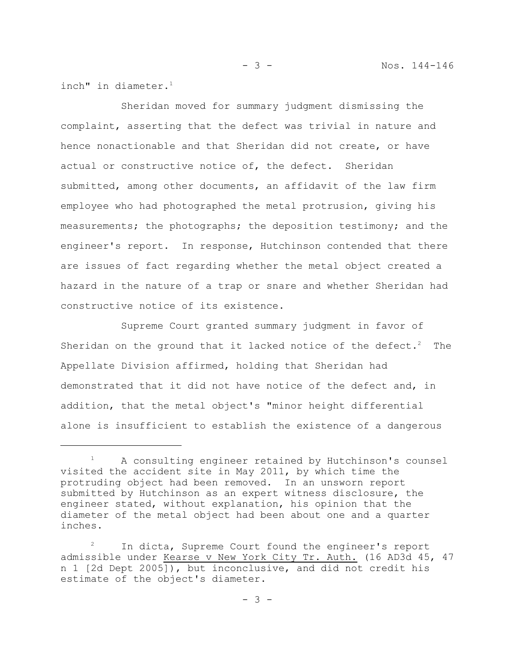inch" in diameter. $1$ 

Sheridan moved for summary judgment dismissing the complaint, asserting that the defect was trivial in nature and hence nonactionable and that Sheridan did not create, or have actual or constructive notice of, the defect. Sheridan submitted, among other documents, an affidavit of the law firm employee who had photographed the metal protrusion, giving his measurements; the photographs; the deposition testimony; and the engineer's report. In response, Hutchinson contended that there are issues of fact regarding whether the metal object created a hazard in the nature of a trap or snare and whether Sheridan had constructive notice of its existence.

Supreme Court granted summary judgment in favor of Sheridan on the ground that it lacked notice of the defect.<sup>2</sup> The Appellate Division affirmed, holding that Sheridan had demonstrated that it did not have notice of the defect and, in addition, that the metal object's "minor height differential alone is insufficient to establish the existence of a dangerous

<sup>&</sup>lt;sup>1</sup> A consulting engineer retained by Hutchinson's counsel visited the accident site in May 2011, by which time the protruding object had been removed. In an unsworn report submitted by Hutchinson as an expert witness disclosure, the engineer stated, without explanation, his opinion that the diameter of the metal object had been about one and a quarter inches.

<sup>&</sup>lt;sup>2</sup> In dicta, Supreme Court found the engineer's report admissible under Kearse v New York City Tr. Auth. (16 AD3d 45, 47 n 1 [2d Dept 2005]), but inconclusive, and did not credit his estimate of the object's diameter.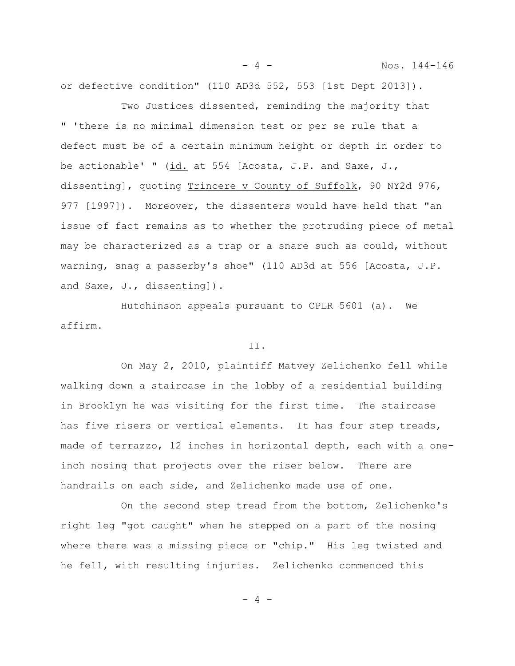- 4 - Nos. 144-146

or defective condition" (110 AD3d 552, 553 [1st Dept 2013]).

Two Justices dissented, reminding the majority that " 'there is no minimal dimension test or per se rule that a defect must be of a certain minimum height or depth in order to be actionable' " (id. at 554 [Acosta, J.P. and Saxe, J., dissenting], quoting Trincere v County of Suffolk, 90 NY2d 976, 977 [1997]). Moreover, the dissenters would have held that "an issue of fact remains as to whether the protruding piece of metal may be characterized as a trap or a snare such as could, without warning, snag a passerby's shoe" (110 AD3d at 556 [Acosta, J.P. and Saxe, J., dissenting]).

Hutchinson appeals pursuant to CPLR 5601 (a). We affirm.

#### II.

On May 2, 2010, plaintiff Matvey Zelichenko fell while walking down a staircase in the lobby of a residential building in Brooklyn he was visiting for the first time. The staircase has five risers or vertical elements. It has four step treads, made of terrazzo, 12 inches in horizontal depth, each with a oneinch nosing that projects over the riser below. There are handrails on each side, and Zelichenko made use of one.

On the second step tread from the bottom, Zelichenko's right leg "got caught" when he stepped on a part of the nosing where there was a missing piece or "chip." His leg twisted and he fell, with resulting injuries. Zelichenko commenced this

- 4 -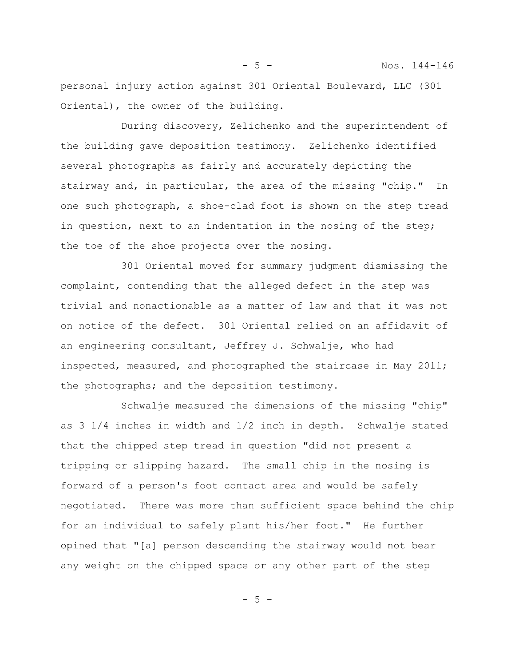personal injury action against 301 Oriental Boulevard, LLC (301 Oriental), the owner of the building.

During discovery, Zelichenko and the superintendent of the building gave deposition testimony. Zelichenko identified several photographs as fairly and accurately depicting the stairway and, in particular, the area of the missing "chip." In one such photograph, a shoe-clad foot is shown on the step tread in question, next to an indentation in the nosing of the step; the toe of the shoe projects over the nosing.

301 Oriental moved for summary judgment dismissing the complaint, contending that the alleged defect in the step was trivial and nonactionable as a matter of law and that it was not on notice of the defect. 301 Oriental relied on an affidavit of an engineering consultant, Jeffrey J. Schwalje, who had inspected, measured, and photographed the staircase in May 2011; the photographs; and the deposition testimony.

Schwalje measured the dimensions of the missing "chip" as 3 1/4 inches in width and 1/2 inch in depth. Schwalje stated that the chipped step tread in question "did not present a tripping or slipping hazard. The small chip in the nosing is forward of a person's foot contact area and would be safely negotiated. There was more than sufficient space behind the chip for an individual to safely plant his/her foot." He further opined that "[a] person descending the stairway would not bear any weight on the chipped space or any other part of the step

- 5 -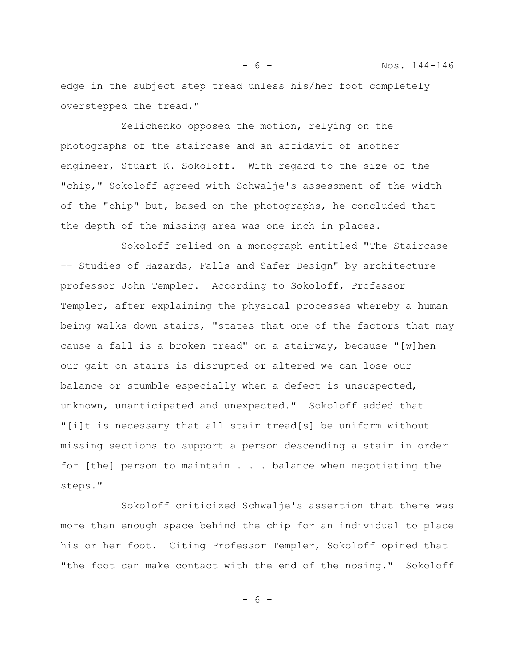edge in the subject step tread unless his/her foot completely overstepped the tread."

Zelichenko opposed the motion, relying on the photographs of the staircase and an affidavit of another engineer, Stuart K. Sokoloff. With regard to the size of the "chip," Sokoloff agreed with Schwalje's assessment of the width of the "chip" but, based on the photographs, he concluded that the depth of the missing area was one inch in places.

Sokoloff relied on a monograph entitled "The Staircase -- Studies of Hazards, Falls and Safer Design" by architecture professor John Templer. According to Sokoloff, Professor Templer, after explaining the physical processes whereby a human being walks down stairs, "states that one of the factors that may cause a fall is a broken tread" on a stairway, because "[w]hen our gait on stairs is disrupted or altered we can lose our balance or stumble especially when a defect is unsuspected, unknown, unanticipated and unexpected." Sokoloff added that "[i]t is necessary that all stair tread[s] be uniform without missing sections to support a person descending a stair in order for [the] person to maintain . . . balance when negotiating the steps."

Sokoloff criticized Schwalje's assertion that there was more than enough space behind the chip for an individual to place his or her foot. Citing Professor Templer, Sokoloff opined that "the foot can make contact with the end of the nosing." Sokoloff

- 6 -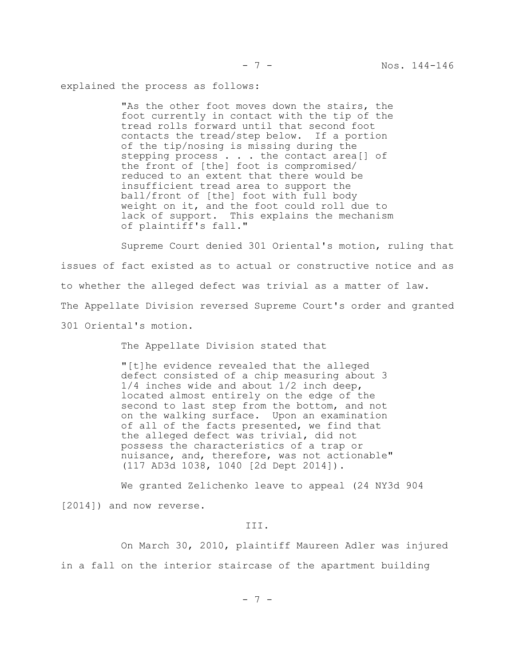explained the process as follows:

"As the other foot moves down the stairs, the foot currently in contact with the tip of the tread rolls forward until that second foot contacts the tread/step below. If a portion of the tip/nosing is missing during the stepping process . . . the contact area[] of the front of [the] foot is compromised/ reduced to an extent that there would be insufficient tread area to support the ball/front of [the] foot with full body weight on it, and the foot could roll due to lack of support. This explains the mechanism of plaintiff's fall."

Supreme Court denied 301 Oriental's motion, ruling that issues of fact existed as to actual or constructive notice and as to whether the alleged defect was trivial as a matter of law. The Appellate Division reversed Supreme Court's order and granted 301 Oriental's motion.

The Appellate Division stated that

"[t]he evidence revealed that the alleged defect consisted of a chip measuring about 3 1/4 inches wide and about 1/2 inch deep, located almost entirely on the edge of the second to last step from the bottom, and not on the walking surface. Upon an examination of all of the facts presented, we find that the alleged defect was trivial, did not possess the characteristics of a trap or nuisance, and, therefore, was not actionable" (117 AD3d 1038, 1040 [2d Dept 2014]).

We granted Zelichenko leave to appeal (24 NY3d 904 [2014]) and now reverse.

#### III.

On March 30, 2010, plaintiff Maureen Adler was injured in a fall on the interior staircase of the apartment building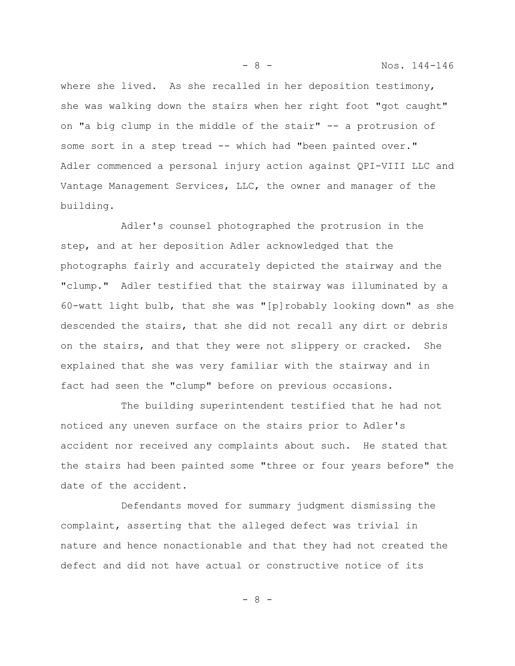where she lived. As she recalled in her deposition testimony, she was walking down the stairs when her right foot "got caught" on "a big clump in the middle of the stair" -- a protrusion of some sort in a step tread -- which had "been painted over." Adler commenced a personal injury action against QPI-VIII LLC and Vantage Management Services, LLC, the owner and manager of the building.

Adler's counsel photographed the protrusion in the step, and at her deposition Adler acknowledged that the photographs fairly and accurately depicted the stairway and the "clump." Adler testified that the stairway was illuminated by a 60-watt light bulb, that she was "[p]robably looking down" as she descended the stairs, that she did not recall any dirt or debris on the stairs, and that they were not slippery or cracked. She explained that she was very familiar with the stairway and in fact had seen the "clump" before on previous occasions.

The building superintendent testified that he had not noticed any uneven surface on the stairs prior to Adler's accident nor received any complaints about such. He stated that the stairs had been painted some "three or four years before" the date of the accident.

Defendants moved for summary judgment dismissing the complaint, asserting that the alleged defect was trivial in nature and hence nonactionable and that they had not created the defect and did not have actual or constructive notice of its

- 8 - Nos. 144-146

- 8 -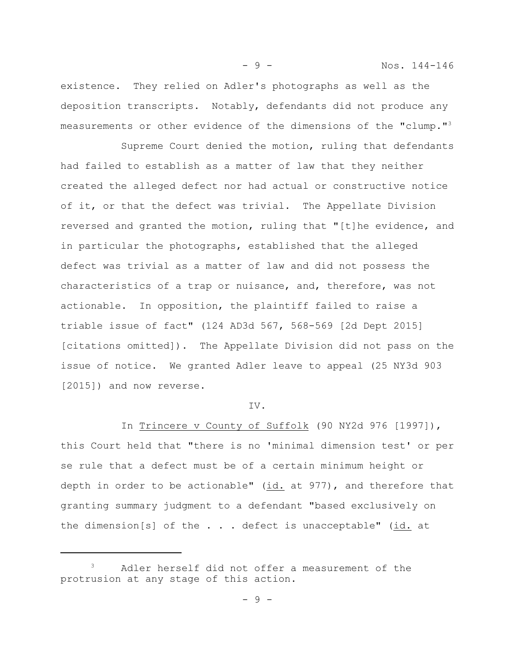- 9 - Nos. 144-146

existence. They relied on Adler's photographs as well as the deposition transcripts. Notably, defendants did not produce any measurements or other evidence of the dimensions of the "clump."<sup>3</sup>

Supreme Court denied the motion, ruling that defendants had failed to establish as a matter of law that they neither created the alleged defect nor had actual or constructive notice of it, or that the defect was trivial. The Appellate Division reversed and granted the motion, ruling that "[t]he evidence, and in particular the photographs, established that the alleged defect was trivial as a matter of law and did not possess the characteristics of a trap or nuisance, and, therefore, was not actionable. In opposition, the plaintiff failed to raise a triable issue of fact" (124 AD3d 567, 568-569 [2d Dept 2015] [citations omitted]). The Appellate Division did not pass on the issue of notice. We granted Adler leave to appeal (25 NY3d 903 [2015]) and now reverse.

#### IV.

In Trincere v County of Suffolk (90 NY2d 976 [1997]), this Court held that "there is no 'minimal dimension test' or per se rule that a defect must be of a certain minimum height or depth in order to be actionable"  $(id.$  at 977), and therefore that granting summary judgment to a defendant "based exclusively on the dimension[s] of the  $\ldots$  defect is unacceptable" (id. at

<sup>&</sup>lt;sup>3</sup> Adler herself did not offer a measurement of the protrusion at any stage of this action.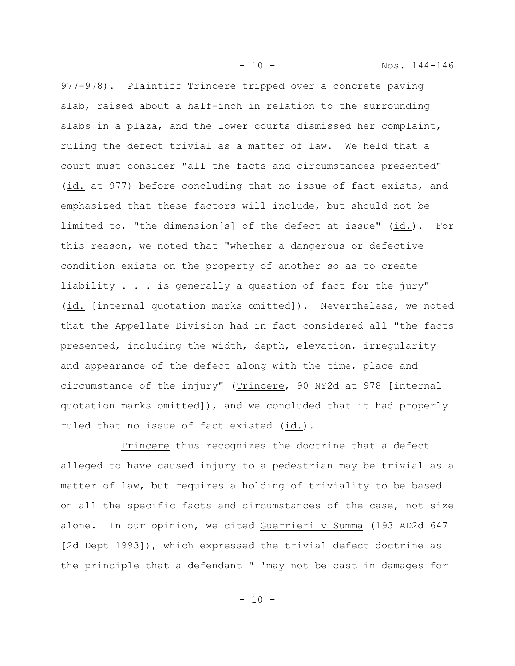- 10 - Nos. 144-146

977-978). Plaintiff Trincere tripped over a concrete paving slab, raised about a half-inch in relation to the surrounding slabs in a plaza, and the lower courts dismissed her complaint, ruling the defect trivial as a matter of law. We held that a court must consider "all the facts and circumstances presented" (id. at 977) before concluding that no issue of fact exists, and emphasized that these factors will include, but should not be limited to, "the dimension[s] of the defect at issue" (id.). For this reason, we noted that "whether a dangerous or defective condition exists on the property of another so as to create liability . . . is generally a question of fact for the jury" (id. [internal quotation marks omitted]). Nevertheless, we noted that the Appellate Division had in fact considered all "the facts presented, including the width, depth, elevation, irregularity and appearance of the defect along with the time, place and circumstance of the injury" (Trincere, 90 NY2d at 978 [internal quotation marks omitted]), and we concluded that it had properly ruled that no issue of fact existed (id.).

Trincere thus recognizes the doctrine that a defect alleged to have caused injury to a pedestrian may be trivial as a matter of law, but requires a holding of triviality to be based on all the specific facts and circumstances of the case, not size alone. In our opinion, we cited Guerrieri v Summa (193 AD2d 647 [2d Dept 1993]), which expressed the trivial defect doctrine as the principle that a defendant " 'may not be cast in damages for

- 10 -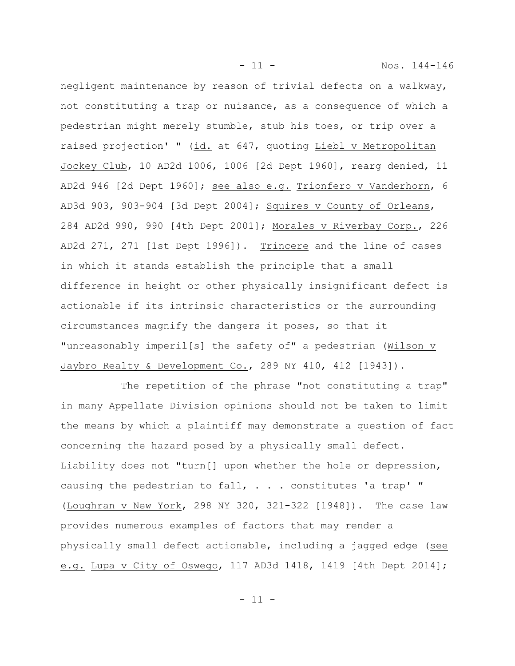negligent maintenance by reason of trivial defects on a walkway, not constituting a trap or nuisance, as a consequence of which a pedestrian might merely stumble, stub his toes, or trip over a raised projection' " (id. at 647, quoting Liebl v Metropolitan Jockey Club, 10 AD2d 1006, 1006 [2d Dept 1960], rearg denied, 11 AD2d 946 [2d Dept 1960]; see also e.g. Trionfero v Vanderhorn, 6 AD3d 903, 903-904 [3d Dept 2004]; Squires v County of Orleans, 284 AD2d 990, 990 [4th Dept 2001]; Morales v Riverbay Corp., 226 AD2d 271, 271 [1st Dept 1996]). Trincere and the line of cases in which it stands establish the principle that a small difference in height or other physically insignificant defect is actionable if its intrinsic characteristics or the surrounding circumstances magnify the dangers it poses, so that it "unreasonably imperil[s] the safety of" a pedestrian (Wilson v Jaybro Realty & Development Co., 289 NY 410, 412 [1943]).

The repetition of the phrase "not constituting a trap" in many Appellate Division opinions should not be taken to limit the means by which a plaintiff may demonstrate a question of fact concerning the hazard posed by a physically small defect. Liability does not "turn[] upon whether the hole or depression, causing the pedestrian to fall, . . . constitutes 'a trap' " (Loughran v New York, 298 NY 320, 321-322 [1948]). The case law provides numerous examples of factors that may render a physically small defect actionable, including a jagged edge (see e.g. Lupa v City of Oswego, 117 AD3d 1418, 1419 [4th Dept 2014];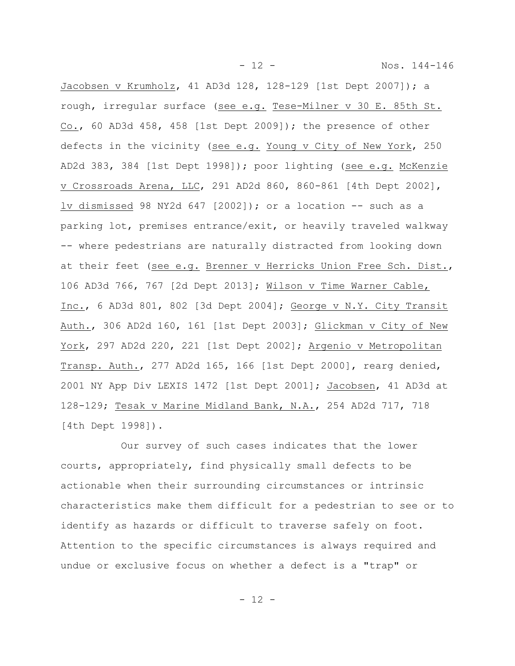- 12 - Nos. 144-146

Jacobsen v Krumholz, 41 AD3d 128, 128-129 [1st Dept 2007]); a rough, irregular surface (see e.g. Tese-Milner v 30 E. 85th St. Co., 60 AD3d 458, 458 [1st Dept 2009]); the presence of other defects in the vicinity (see e.g. Young v City of New York, 250 AD2d 383, 384 [1st Dept 1998]); poor lighting (see e.g. McKenzie v Crossroads Arena, LLC, 291 AD2d 860, 860-861 [4th Dept 2002], lv dismissed 98 NY2d 647 [2002]); or a location  $-$  such as a parking lot, premises entrance/exit, or heavily traveled walkway -- where pedestrians are naturally distracted from looking down at their feet (see e.g. Brenner v Herricks Union Free Sch. Dist., 106 AD3d 766, 767 [2d Dept 2013]; Wilson v Time Warner Cable, Inc., 6 AD3d 801, 802 [3d Dept 2004]; George v N.Y. City Transit Auth., 306 AD2d 160, 161 [1st Dept 2003]; Glickman v City of New York, 297 AD2d 220, 221 [1st Dept 2002]; Argenio v Metropolitan Transp. Auth., 277 AD2d 165, 166 [1st Dept 2000], rearg denied, 2001 NY App Div LEXIS 1472 [1st Dept 2001]; Jacobsen, 41 AD3d at 128-129; Tesak v Marine Midland Bank, N.A., 254 AD2d 717, 718 [4th Dept 1998]).

Our survey of such cases indicates that the lower courts, appropriately, find physically small defects to be actionable when their surrounding circumstances or intrinsic characteristics make them difficult for a pedestrian to see or to identify as hazards or difficult to traverse safely on foot. Attention to the specific circumstances is always required and undue or exclusive focus on whether a defect is a "trap" or

- 12 -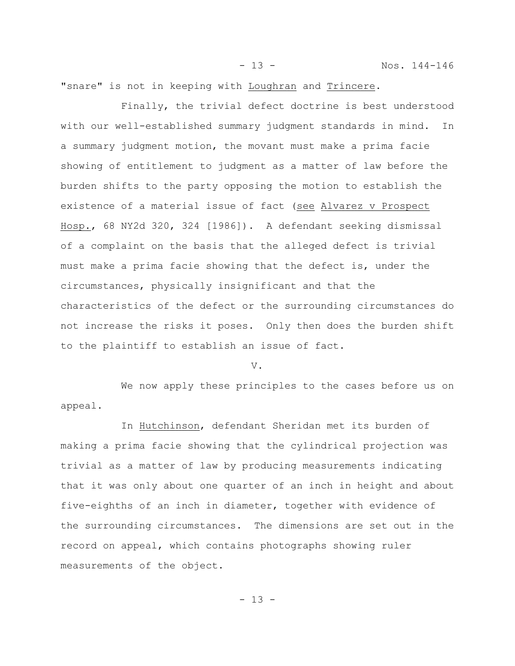"snare" is not in keeping with Loughran and Trincere.

Finally, the trivial defect doctrine is best understood with our well-established summary judgment standards in mind. In a summary judgment motion, the movant must make a prima facie showing of entitlement to judgment as a matter of law before the burden shifts to the party opposing the motion to establish the existence of a material issue of fact (see Alvarez v Prospect Hosp., 68 NY2d 320, 324 [1986]). A defendant seeking dismissal of a complaint on the basis that the alleged defect is trivial must make a prima facie showing that the defect is, under the circumstances, physically insignificant and that the characteristics of the defect or the surrounding circumstances do not increase the risks it poses. Only then does the burden shift to the plaintiff to establish an issue of fact.

V.

We now apply these principles to the cases before us on appeal.

In Hutchinson, defendant Sheridan met its burden of making a prima facie showing that the cylindrical projection was trivial as a matter of law by producing measurements indicating that it was only about one quarter of an inch in height and about five-eighths of an inch in diameter, together with evidence of the surrounding circumstances. The dimensions are set out in the record on appeal, which contains photographs showing ruler measurements of the object.

- 13 - Nos. 144-146

- 13 -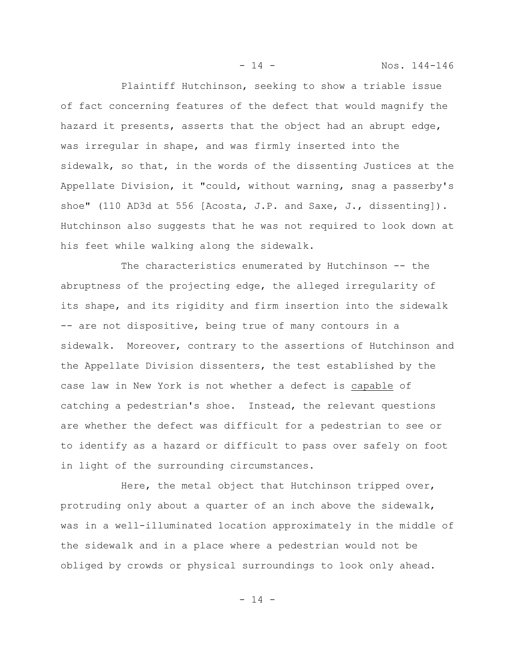Plaintiff Hutchinson, seeking to show a triable issue of fact concerning features of the defect that would magnify the hazard it presents, asserts that the object had an abrupt edge, was irregular in shape, and was firmly inserted into the sidewalk, so that, in the words of the dissenting Justices at the Appellate Division, it "could, without warning, snag a passerby's shoe" (110 AD3d at 556 [Acosta, J.P. and Saxe, J., dissenting]). Hutchinson also suggests that he was not required to look down at his feet while walking along the sidewalk.

The characteristics enumerated by Hutchinson -- the abruptness of the projecting edge, the alleged irregularity of its shape, and its rigidity and firm insertion into the sidewalk -- are not dispositive, being true of many contours in a sidewalk. Moreover, contrary to the assertions of Hutchinson and the Appellate Division dissenters, the test established by the case law in New York is not whether a defect is capable of catching a pedestrian's shoe. Instead, the relevant questions are whether the defect was difficult for a pedestrian to see or to identify as a hazard or difficult to pass over safely on foot in light of the surrounding circumstances.

Here, the metal object that Hutchinson tripped over, protruding only about a quarter of an inch above the sidewalk, was in a well-illuminated location approximately in the middle of the sidewalk and in a place where a pedestrian would not be obliged by crowds or physical surroundings to look only ahead.

 $- 14 -$ 

- 14 - Nos. 144-146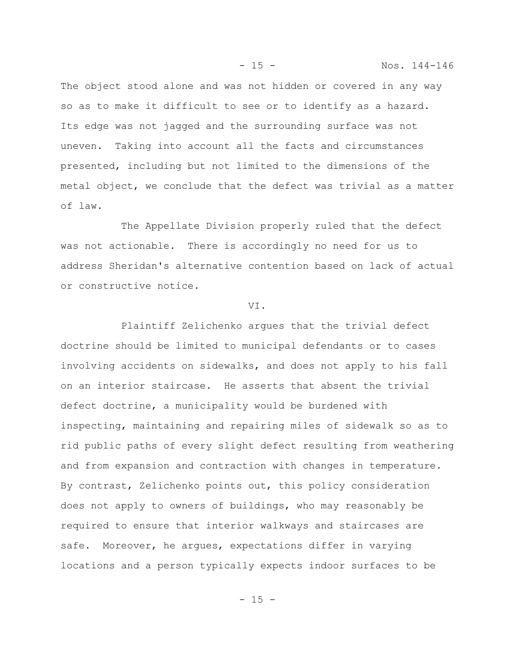The object stood alone and was not hidden or covered in any way so as to make it difficult to see or to identify as a hazard. Its edge was not jagged and the surrounding surface was not uneven. Taking into account all the facts and circumstances presented, including but not limited to the dimensions of the metal object, we conclude that the defect was trivial as a matter of law.

The Appellate Division properly ruled that the defect was not actionable. There is accordingly no need for us to address Sheridan's alternative contention based on lack of actual or constructive notice.

### VI.

Plaintiff Zelichenko argues that the trivial defect doctrine should be limited to municipal defendants or to cases involving accidents on sidewalks, and does not apply to his fall on an interior staircase. He asserts that absent the trivial defect doctrine, a municipality would be burdened with inspecting, maintaining and repairing miles of sidewalk so as to rid public paths of every slight defect resulting from weathering and from expansion and contraction with changes in temperature. By contrast, Zelichenko points out, this policy consideration does not apply to owners of buildings, who may reasonably be required to ensure that interior walkways and staircases are safe. Moreover, he argues, expectations differ in varying locations and a person typically expects indoor surfaces to be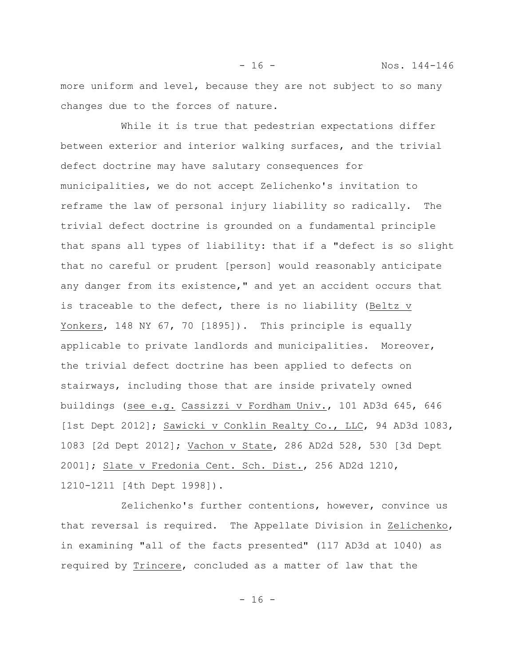more uniform and level, because they are not subject to so many changes due to the forces of nature.

- 16 - Nos. 144-146

While it is true that pedestrian expectations differ between exterior and interior walking surfaces, and the trivial defect doctrine may have salutary consequences for municipalities, we do not accept Zelichenko's invitation to reframe the law of personal injury liability so radically. The trivial defect doctrine is grounded on a fundamental principle that spans all types of liability: that if a "defect is so slight that no careful or prudent [person] would reasonably anticipate any danger from its existence," and yet an accident occurs that is traceable to the defect, there is no liability (Beltz v Yonkers, 148 NY 67, 70 [1895]). This principle is equally applicable to private landlords and municipalities. Moreover, the trivial defect doctrine has been applied to defects on stairways, including those that are inside privately owned buildings (see e.g. Cassizzi v Fordham Univ., 101 AD3d 645, 646 [1st Dept 2012]; Sawicki v Conklin Realty Co., LLC, 94 AD3d 1083, 1083 [2d Dept 2012]; Vachon v State, 286 AD2d 528, 530 [3d Dept 2001]; Slate v Fredonia Cent. Sch. Dist., 256 AD2d 1210, 1210-1211 [4th Dept 1998]).

Zelichenko's further contentions, however, convince us that reversal is required. The Appellate Division in Zelichenko, in examining "all of the facts presented" (117 AD3d at 1040) as required by Trincere, concluded as a matter of law that the

 $- 16 -$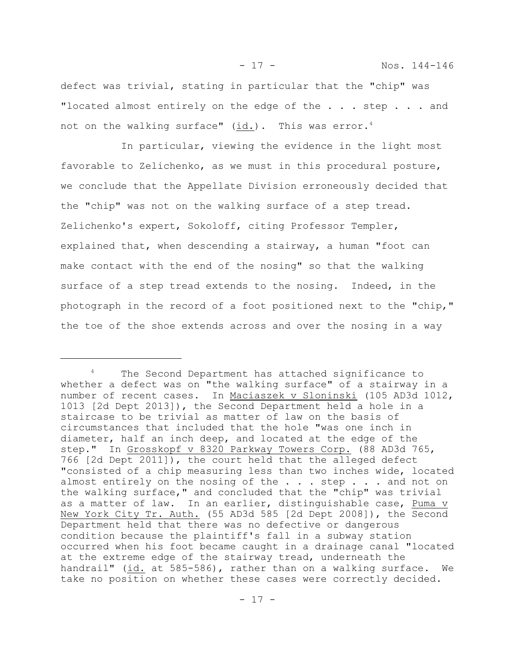defect was trivial, stating in particular that the "chip" was "located almost entirely on the edge of the . . . step . . . and not on the walking surface" (id.). This was error.<sup>4</sup>

In particular, viewing the evidence in the light most favorable to Zelichenko, as we must in this procedural posture, we conclude that the Appellate Division erroneously decided that the "chip" was not on the walking surface of a step tread. Zelichenko's expert, Sokoloff, citing Professor Templer, explained that, when descending a stairway, a human "foot can make contact with the end of the nosing" so that the walking surface of a step tread extends to the nosing. Indeed, in the photograph in the record of a foot positioned next to the "chip," the toe of the shoe extends across and over the nosing in a way

<sup>&</sup>lt;sup>4</sup> The Second Department has attached significance to whether a defect was on "the walking surface" of a stairway in a number of recent cases. In Maciaszek v Sloninski (105 AD3d 1012, 1013 [2d Dept 2013]), the Second Department held a hole in a staircase to be trivial as matter of law on the basis of circumstances that included that the hole "was one inch in diameter, half an inch deep, and located at the edge of the step." In Grosskopf v 8320 Parkway Towers Corp. (88 AD3d 765, 766 [2d Dept 2011]), the court held that the alleged defect "consisted of a chip measuring less than two inches wide, located almost entirely on the nosing of the . . . step . . . and not on the walking surface," and concluded that the "chip" was trivial as a matter of law. In an earlier, distinguishable case, Puma v New York City Tr. Auth. (55 AD3d 585 [2d Dept 2008]), the Second Department held that there was no defective or dangerous condition because the plaintiff's fall in a subway station occurred when his foot became caught in a drainage canal "located at the extreme edge of the stairway tread, underneath the handrail" (id. at 585-586), rather than on a walking surface. We take no position on whether these cases were correctly decided.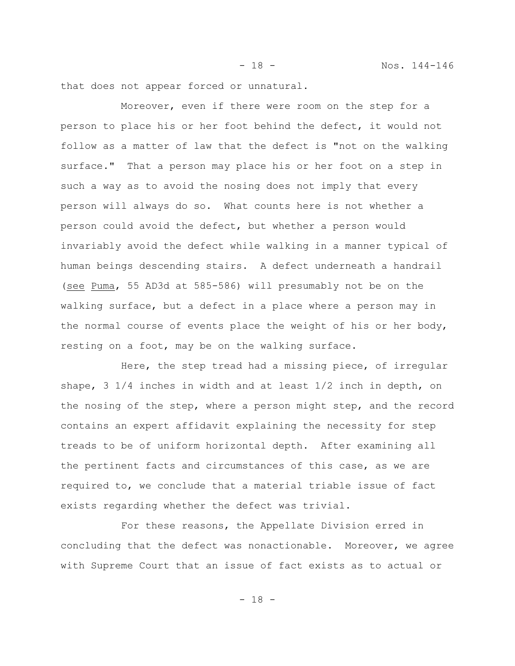- 18 - Nos. 144-146

that does not appear forced or unnatural.

Moreover, even if there were room on the step for a person to place his or her foot behind the defect, it would not follow as a matter of law that the defect is "not on the walking surface." That a person may place his or her foot on a step in such a way as to avoid the nosing does not imply that every person will always do so. What counts here is not whether a person could avoid the defect, but whether a person would invariably avoid the defect while walking in a manner typical of human beings descending stairs. A defect underneath a handrail (see Puma, 55 AD3d at 585-586) will presumably not be on the walking surface, but a defect in a place where a person may in the normal course of events place the weight of his or her body, resting on a foot, may be on the walking surface.

Here, the step tread had a missing piece, of irregular shape, 3 1/4 inches in width and at least 1/2 inch in depth, on the nosing of the step, where a person might step, and the record contains an expert affidavit explaining the necessity for step treads to be of uniform horizontal depth. After examining all the pertinent facts and circumstances of this case, as we are required to, we conclude that a material triable issue of fact exists regarding whether the defect was trivial.

For these reasons, the Appellate Division erred in concluding that the defect was nonactionable. Moreover, we agree with Supreme Court that an issue of fact exists as to actual or

- 18 -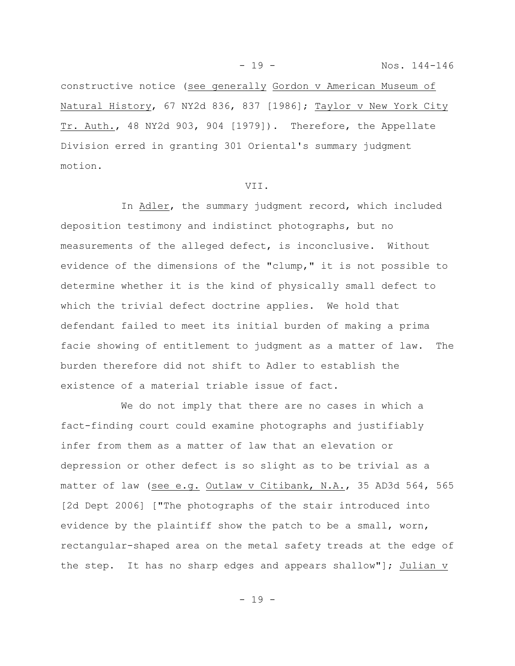constructive notice (see generally Gordon v American Museum of Natural History, 67 NY2d 836, 837 [1986]; Taylor v New York City Tr. Auth., 48 NY2d 903, 904 [1979]). Therefore, the Appellate Division erred in granting 301 Oriental's summary judgment motion.

## VII.

In Adler, the summary judgment record, which included deposition testimony and indistinct photographs, but no measurements of the alleged defect, is inconclusive. Without evidence of the dimensions of the "clump," it is not possible to determine whether it is the kind of physically small defect to which the trivial defect doctrine applies. We hold that defendant failed to meet its initial burden of making a prima facie showing of entitlement to judgment as a matter of law. The burden therefore did not shift to Adler to establish the existence of a material triable issue of fact.

We do not imply that there are no cases in which a fact-finding court could examine photographs and justifiably infer from them as a matter of law that an elevation or depression or other defect is so slight as to be trivial as a matter of law (see e.g. Outlaw v Citibank, N.A., 35 AD3d 564, 565 [2d Dept 2006] ["The photographs of the stair introduced into evidence by the plaintiff show the patch to be a small, worn, rectangular-shaped area on the metal safety treads at the edge of the step. It has no sharp edges and appears shallow"]; Julian  $v$ 

- 19 -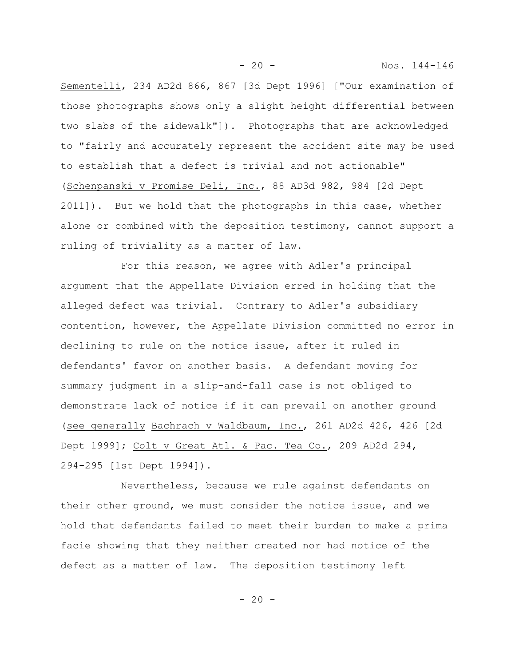Sementelli, 234 AD2d 866, 867 [3d Dept 1996] ["Our examination of those photographs shows only a slight height differential between two slabs of the sidewalk"]). Photographs that are acknowledged to "fairly and accurately represent the accident site may be used to establish that a defect is trivial and not actionable" (Schenpanski v Promise Deli, Inc., 88 AD3d 982, 984 [2d Dept 2011]). But we hold that the photographs in this case, whether alone or combined with the deposition testimony, cannot support a ruling of triviality as a matter of law.

- 20 - Nos. 144-146

For this reason, we agree with Adler's principal argument that the Appellate Division erred in holding that the alleged defect was trivial. Contrary to Adler's subsidiary contention, however, the Appellate Division committed no error in declining to rule on the notice issue, after it ruled in defendants' favor on another basis. A defendant moving for summary judgment in a slip-and-fall case is not obliged to demonstrate lack of notice if it can prevail on another ground (see generally Bachrach v Waldbaum, Inc., 261 AD2d 426, 426 [2d Dept 1999]; Colt v Great Atl. & Pac. Tea Co., 209 AD2d 294, 294-295 [1st Dept 1994]).

Nevertheless, because we rule against defendants on their other ground, we must consider the notice issue, and we hold that defendants failed to meet their burden to make a prima facie showing that they neither created nor had notice of the defect as a matter of law. The deposition testimony left

 $-20 -$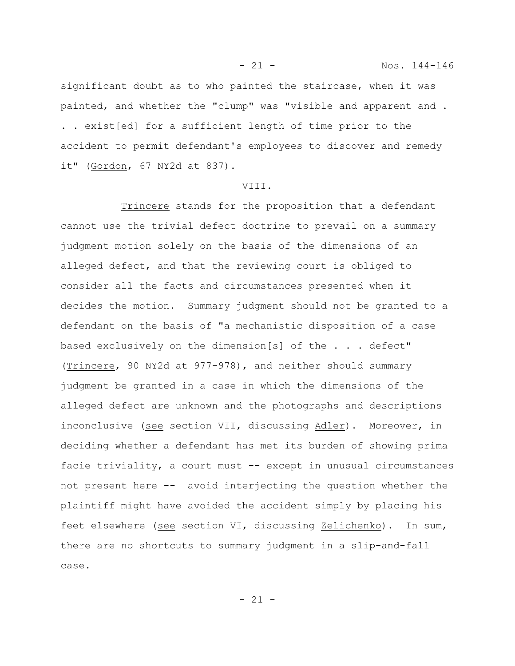significant doubt as to who painted the staircase, when it was painted, and whether the "clump" was "visible and apparent and . . . exist[ed] for a sufficient length of time prior to the accident to permit defendant's employees to discover and remedy it" (Gordon, 67 NY2d at 837).

### VIII.

Trincere stands for the proposition that a defendant cannot use the trivial defect doctrine to prevail on a summary judgment motion solely on the basis of the dimensions of an alleged defect, and that the reviewing court is obliged to consider all the facts and circumstances presented when it decides the motion. Summary judgment should not be granted to a defendant on the basis of "a mechanistic disposition of a case based exclusively on the dimension[s] of the . . . defect" (Trincere, 90 NY2d at 977-978), and neither should summary judgment be granted in a case in which the dimensions of the alleged defect are unknown and the photographs and descriptions inconclusive (see section VII, discussing Adler). Moreover, in deciding whether a defendant has met its burden of showing prima facie triviality, a court must -- except in unusual circumstances not present here -- avoid interjecting the question whether the plaintiff might have avoided the accident simply by placing his feet elsewhere (see section VI, discussing Zelichenko). In sum, there are no shortcuts to summary judgment in a slip-and-fall case.